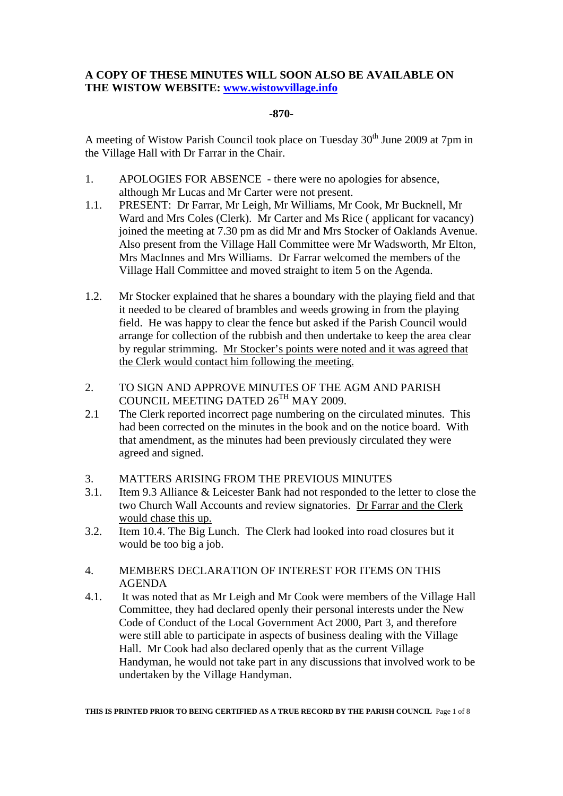### **A COPY OF THESE MINUTES WILL SOON ALSO BE AVAILABLE ON THE WISTOW WEBSITE: www.wistowvillage.info**

#### **-870-**

A meeting of Wistow Parish Council took place on Tuesday  $30<sup>th</sup>$  June 2009 at 7pm in the Village Hall with Dr Farrar in the Chair.

- 1. APOLOGIES FOR ABSENCE there were no apologies for absence, although Mr Lucas and Mr Carter were not present.
- 1.1. PRESENT: Dr Farrar, Mr Leigh, Mr Williams, Mr Cook, Mr Bucknell, Mr Ward and Mrs Coles (Clerk). Mr Carter and Ms Rice ( applicant for vacancy) joined the meeting at 7.30 pm as did Mr and Mrs Stocker of Oaklands Avenue. Also present from the Village Hall Committee were Mr Wadsworth, Mr Elton, Mrs MacInnes and Mrs Williams. Dr Farrar welcomed the members of the Village Hall Committee and moved straight to item 5 on the Agenda.
- 1.2. Mr Stocker explained that he shares a boundary with the playing field and that it needed to be cleared of brambles and weeds growing in from the playing field. He was happy to clear the fence but asked if the Parish Council would arrange for collection of the rubbish and then undertake to keep the area clear by regular strimming. Mr Stocker's points were noted and it was agreed that the Clerk would contact him following the meeting.
- 2. TO SIGN AND APPROVE MINUTES OF THE AGM AND PARISH COUNCIL MEETING DATED 26TH MAY 2009.
- 2.1 The Clerk reported incorrect page numbering on the circulated minutes. This had been corrected on the minutes in the book and on the notice board. With that amendment, as the minutes had been previously circulated they were agreed and signed.
- 3. MATTERS ARISING FROM THE PREVIOUS MINUTES
- 3.1. Item 9.3 Alliance & Leicester Bank had not responded to the letter to close the two Church Wall Accounts and review signatories. Dr Farrar and the Clerk would chase this up.
- 3.2. Item 10.4. The Big Lunch. The Clerk had looked into road closures but it would be too big a job.
- 4. MEMBERS DECLARATION OF INTEREST FOR ITEMS ON THIS AGENDA
- 4.1. It was noted that as Mr Leigh and Mr Cook were members of the Village Hall Committee, they had declared openly their personal interests under the New Code of Conduct of the Local Government Act 2000, Part 3, and therefore were still able to participate in aspects of business dealing with the Village Hall. Mr Cook had also declared openly that as the current Village Handyman, he would not take part in any discussions that involved work to be undertaken by the Village Handyman.

**THIS IS PRINTED PRIOR TO BEING CERTIFIED AS A TRUE RECORD BY THE PARISH COUNCIL** Page 1 of 8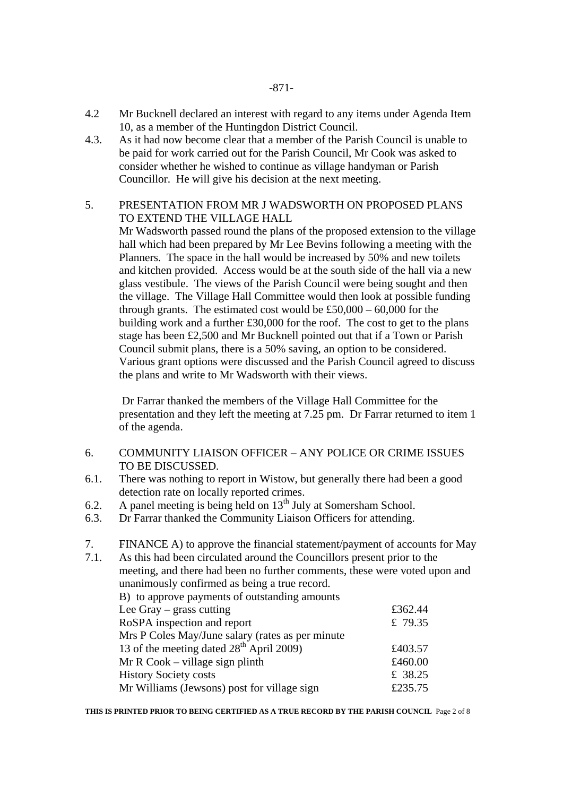- 4.2 Mr Bucknell declared an interest with regard to any items under Agenda Item 10, as a member of the Huntingdon District Council.
- 4.3. As it had now become clear that a member of the Parish Council is unable to be paid for work carried out for the Parish Council, Mr Cook was asked to consider whether he wished to continue as village handyman or Parish Councillor. He will give his decision at the next meeting.

### 5. PRESENTATION FROM MR J WADSWORTH ON PROPOSED PLANS TO EXTEND THE VILLAGE HALL

Mr Wadsworth passed round the plans of the proposed extension to the village hall which had been prepared by Mr Lee Bevins following a meeting with the Planners. The space in the hall would be increased by 50% and new toilets and kitchen provided. Access would be at the south side of the hall via a new glass vestibule. The views of the Parish Council were being sought and then the village. The Village Hall Committee would then look at possible funding through grants. The estimated cost would be  $£50,000 - 60,000$  for the building work and a further £30,000 for the roof. The cost to get to the plans stage has been £2,500 and Mr Bucknell pointed out that if a Town or Parish Council submit plans, there is a 50% saving, an option to be considered. Various grant options were discussed and the Parish Council agreed to discuss the plans and write to Mr Wadsworth with their views.

 Dr Farrar thanked the members of the Village Hall Committee for the presentation and they left the meeting at 7.25 pm. Dr Farrar returned to item 1 of the agenda.

- 6. COMMUNITY LIAISON OFFICER ANY POLICE OR CRIME ISSUES TO BE DISCUSSED.
- 6.1. There was nothing to report in Wistow, but generally there had been a good detection rate on locally reported crimes.
- 6.2. A panel meeting is being held on  $13<sup>th</sup>$  July at Somersham School.
- 6.3. Dr Farrar thanked the Community Liaison Officers for attending.
- 7. FINANCE A) to approve the financial statement/payment of accounts for May
- 7.1. As this had been circulated around the Councillors present prior to the meeting, and there had been no further comments, these were voted upon and unanimously confirmed as being a true record. B) to approve payments of outstanding amounts Lee Gray – grass cutting  $£362.44$ RoSPA inspection and report  $\qquad \qquad \text{£}$  79.35 Mrs P Coles May/June salary (rates as per minute 13 of the meeting dated  $28^{th}$  April 2009)  $\qquad 2003.57$ Mr R Cook – village sign plinth  $£460.00$ History Society costs  $\qquad \qquad \pm 38.25$ Mr Williams (Jewsons) post for village sign  $£235.75$

**THIS IS PRINTED PRIOR TO BEING CERTIFIED AS A TRUE RECORD BY THE PARISH COUNCIL** Page 2 of 8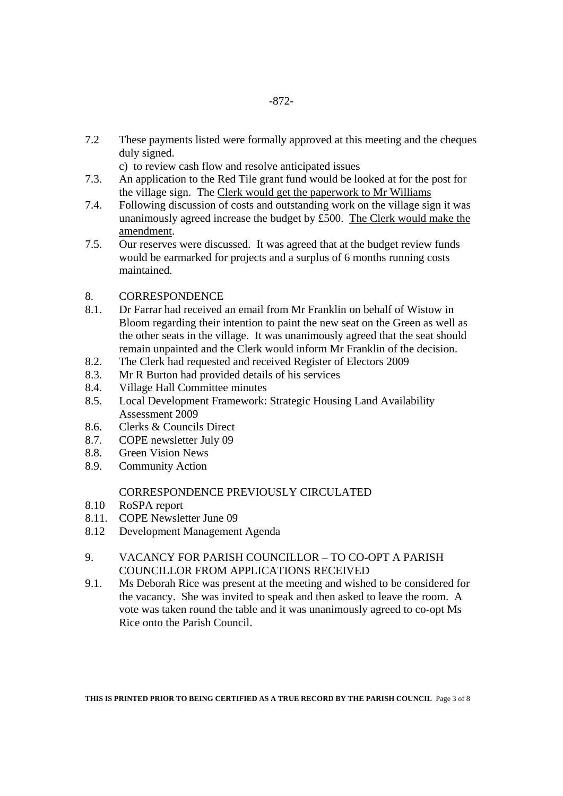7.2 These payments listed were formally approved at this meeting and the cheques duly signed.

c) to review cash flow and resolve anticipated issues

- 7.3. An application to the Red Tile grant fund would be looked at for the post for the village sign. The Clerk would get the paperwork to Mr Williams
- 7.4. Following discussion of costs and outstanding work on the village sign it was unanimously agreed increase the budget by £500. The Clerk would make the amendment.
- 7.5. Our reserves were discussed. It was agreed that at the budget review funds would be earmarked for projects and a surplus of 6 months running costs maintained.

# 8. CORRESPONDENCE

- 8.1. Dr Farrar had received an email from Mr Franklin on behalf of Wistow in Bloom regarding their intention to paint the new seat on the Green as well as the other seats in the village. It was unanimously agreed that the seat should remain unpainted and the Clerk would inform Mr Franklin of the decision.
- 8.2. The Clerk had requested and received Register of Electors 2009
- 8.3. Mr R Burton had provided details of his services
- 8.4. Village Hall Committee minutes
- 8.5. Local Development Framework: Strategic Housing Land Availability Assessment 2009
- 8.6. Clerks & Councils Direct
- 8.7. COPE newsletter July 09
- 8.8. Green Vision News
- 8.9. Community Action

# CORRESPONDENCE PREVIOUSLY CIRCULATED

- 8.10 RoSPA report
- 8.11. COPE Newsletter June 09
- 8.12 Development Management Agenda

### 9. VACANCY FOR PARISH COUNCILLOR – TO CO-OPT A PARISH COUNCILLOR FROM APPLICATIONS RECEIVED

9.1. Ms Deborah Rice was present at the meeting and wished to be considered for the vacancy. She was invited to speak and then asked to leave the room. A vote was taken round the table and it was unanimously agreed to co-opt Ms Rice onto the Parish Council.

**THIS IS PRINTED PRIOR TO BEING CERTIFIED AS A TRUE RECORD BY THE PARISH COUNCIL** Page 3 of 8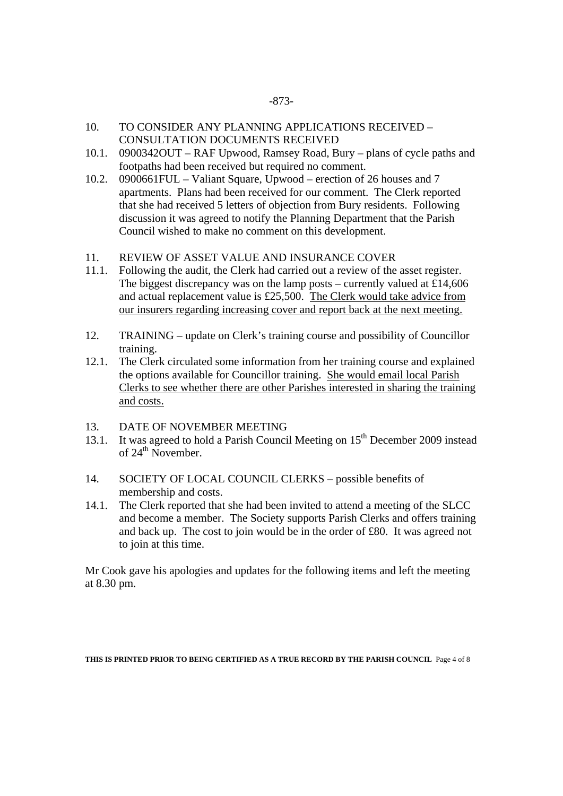- 10. TO CONSIDER ANY PLANNING APPLICATIONS RECEIVED CONSULTATION DOCUMENTS RECEIVED
- 10.1. 0900342OUT RAF Upwood, Ramsey Road, Bury plans of cycle paths and footpaths had been received but required no comment.
- 10.2. 0900661FUL Valiant Square, Upwood erection of 26 houses and 7 apartments. Plans had been received for our comment. The Clerk reported that she had received 5 letters of objection from Bury residents. Following discussion it was agreed to notify the Planning Department that the Parish Council wished to make no comment on this development.
- 11. REVIEW OF ASSET VALUE AND INSURANCE COVER
- 11.1. Following the audit, the Clerk had carried out a review of the asset register. The biggest discrepancy was on the lamp posts – currently valued at  $£14,606$ and actual replacement value is £25,500. The Clerk would take advice from our insurers regarding increasing cover and report back at the next meeting.
- 12. TRAINING update on Clerk's training course and possibility of Councillor training.
- 12.1. The Clerk circulated some information from her training course and explained the options available for Councillor training. She would email local Parish Clerks to see whether there are other Parishes interested in sharing the training and costs.
- 13. DATE OF NOVEMBER MEETING
- 13.1. It was agreed to hold a Parish Council Meeting on 15<sup>th</sup> December 2009 instead of  $24^{th}$  November.
- 14. SOCIETY OF LOCAL COUNCIL CLERKS possible benefits of membership and costs.
- 14.1. The Clerk reported that she had been invited to attend a meeting of the SLCC and become a member. The Society supports Parish Clerks and offers training and back up. The cost to join would be in the order of £80. It was agreed not to join at this time.

Mr Cook gave his apologies and updates for the following items and left the meeting at 8.30 pm.

**THIS IS PRINTED PRIOR TO BEING CERTIFIED AS A TRUE RECORD BY THE PARISH COUNCIL** Page 4 of 8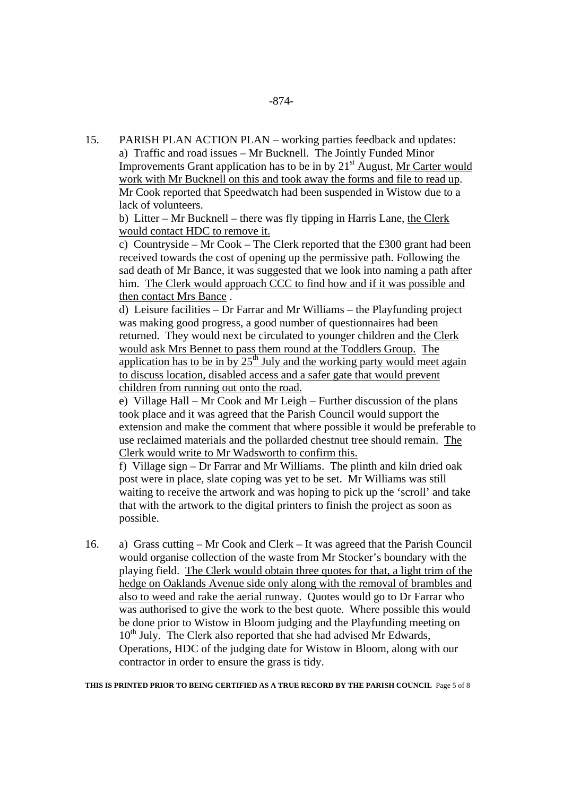15. PARISH PLAN ACTION PLAN – working parties feedback and updates: a) Traffic and road issues – Mr Bucknell. The Jointly Funded Minor Improvements Grant application has to be in by  $21<sup>st</sup>$  August, Mr Carter would work with Mr Bucknell on this and took away the forms and file to read up. Mr Cook reported that Speedwatch had been suspended in Wistow due to a lack of volunteers.

 b) Litter – Mr Bucknell – there was fly tipping in Harris Lane, the Clerk would contact HDC to remove it.

c) Countryside – Mr Cook – The Clerk reported that the £300 grant had been received towards the cost of opening up the permissive path. Following the sad death of Mr Bance, it was suggested that we look into naming a path after him. The Clerk would approach CCC to find how and if it was possible and then contact Mrs Bance .

d) Leisure facilities – Dr Farrar and Mr Williams – the Playfunding project was making good progress, a good number of questionnaires had been returned. They would next be circulated to younger children and the Clerk would ask Mrs Bennet to pass them round at the Toddlers Group. The application has to be in by  $25<sup>th</sup>$  July and the working party would meet again to discuss location, disabled access and a safer gate that would prevent children from running out onto the road.

e) Village Hall – Mr Cook and Mr Leigh – Further discussion of the plans took place and it was agreed that the Parish Council would support the extension and make the comment that where possible it would be preferable to use reclaimed materials and the pollarded chestnut tree should remain. The Clerk would write to Mr Wadsworth to confirm this.

f) Village sign – Dr Farrar and Mr Williams. The plinth and kiln dried oak post were in place, slate coping was yet to be set. Mr Williams was still waiting to receive the artwork and was hoping to pick up the 'scroll' and take that with the artwork to the digital printers to finish the project as soon as possible.

16. a) Grass cutting – Mr Cook and Clerk – It was agreed that the Parish Council would organise collection of the waste from Mr Stocker's boundary with the playing field. The Clerk would obtain three quotes for that, a light trim of the hedge on Oaklands Avenue side only along with the removal of brambles and also to weed and rake the aerial runway. Quotes would go to Dr Farrar who was authorised to give the work to the best quote. Where possible this would be done prior to Wistow in Bloom judging and the Playfunding meeting on  $10<sup>th</sup>$  July. The Clerk also reported that she had advised Mr Edwards, Operations, HDC of the judging date for Wistow in Bloom, along with our contractor in order to ensure the grass is tidy.

**THIS IS PRINTED PRIOR TO BEING CERTIFIED AS A TRUE RECORD BY THE PARISH COUNCIL** Page 5 of 8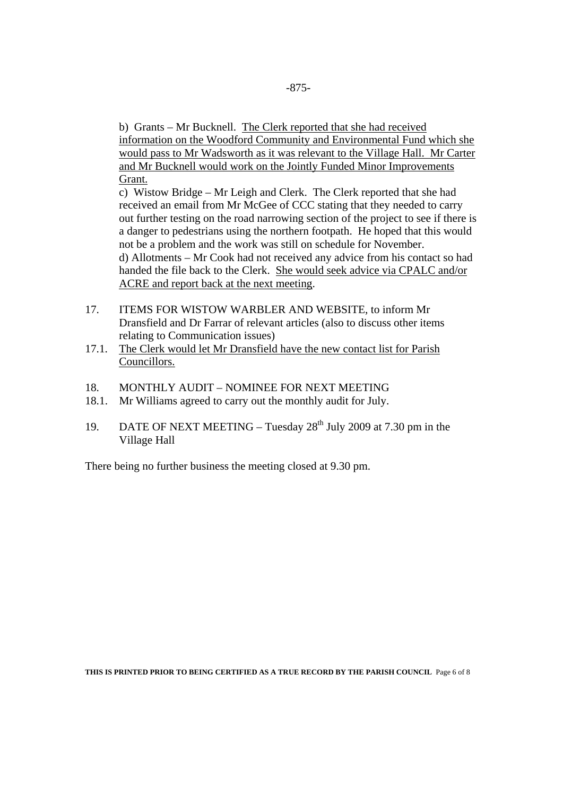b) Grants – Mr Bucknell. The Clerk reported that she had received information on the Woodford Community and Environmental Fund which she would pass to Mr Wadsworth as it was relevant to the Village Hall. Mr Carter and Mr Bucknell would work on the Jointly Funded Minor Improvements Grant.

 c) Wistow Bridge – Mr Leigh and Clerk. The Clerk reported that she had received an email from Mr McGee of CCC stating that they needed to carry out further testing on the road narrowing section of the project to see if there is a danger to pedestrians using the northern footpath. He hoped that this would not be a problem and the work was still on schedule for November. d) Allotments – Mr Cook had not received any advice from his contact so had handed the file back to the Clerk. She would seek advice via CPALC and/or ACRE and report back at the next meeting.

- 17. ITEMS FOR WISTOW WARBLER AND WEBSITE, to inform Mr Dransfield and Dr Farrar of relevant articles (also to discuss other items relating to Communication issues)
- 17.1. The Clerk would let Mr Dransfield have the new contact list for Parish Councillors.
- 18. MONTHLY AUDIT NOMINEE FOR NEXT MEETING
- 18.1. Mr Williams agreed to carry out the monthly audit for July.
- 19. DATE OF NEXT MEETING Tuesday  $28<sup>th</sup>$  July 2009 at 7.30 pm in the Village Hall

There being no further business the meeting closed at 9.30 pm.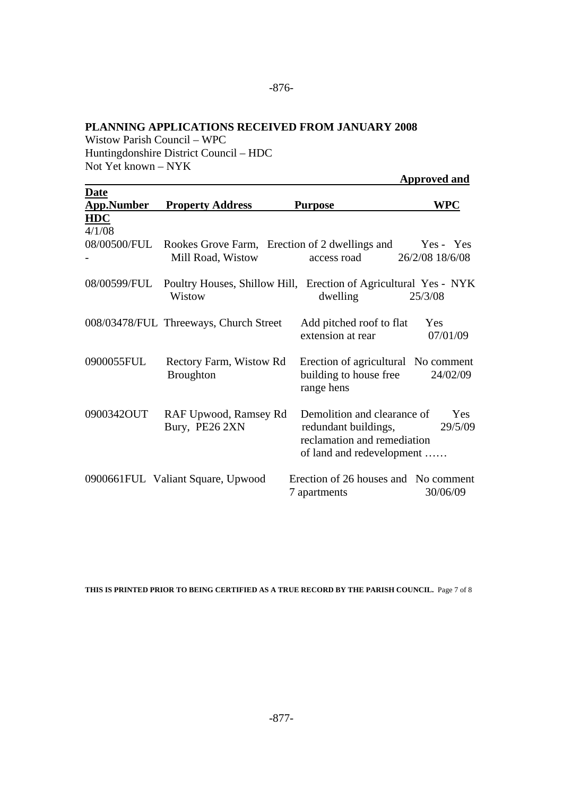#### **PLANNING APPLICATIONS RECEIVED FROM JANUARY 2008**

Wistow Parish Council – WPC Huntingdonshire District Council – HDC Not Yet known – NYK

 **Approved and** 

| <b>Date</b>          |                                                                                         |                                                                                                                 |                              |
|----------------------|-----------------------------------------------------------------------------------------|-----------------------------------------------------------------------------------------------------------------|------------------------------|
| <b>App.Number</b>    | <b>Property Address</b>                                                                 | <b>Purpose</b>                                                                                                  | WPC                          |
| <b>HDC</b><br>4/1/08 |                                                                                         |                                                                                                                 |                              |
|                      | 08/00500/FUL Rookes Grove Farm, Erection of 2 dwellings and<br>Mill Road, Wistow        | access road                                                                                                     | Yes - Yes<br>26/2/08 18/6/08 |
|                      | 08/00599/FUL Poultry Houses, Shillow Hill, Erection of Agricultural Yes - NYK<br>Wistow | dwelling                                                                                                        | 25/3/08                      |
|                      | 008/03478/FUL Threeways, Church Street                                                  | Add pitched roof to flat<br>extension at rear                                                                   | Yes<br>07/01/09              |
| 0900055FUL           | Rectory Farm, Wistow Rd<br><b>Broughton</b>                                             | Erection of agricultural No comment<br>building to house free<br>range hens                                     | 24/02/09                     |
| 0900342OUT           | RAF Upwood, Ramsey Rd<br>Bury, PE26 2XN                                                 | Demolition and clearance of<br>redundant buildings,<br>reclamation and remediation<br>of land and redevelopment | Yes<br>29/5/09               |
|                      | 0900661FUL Valiant Square, Upwood                                                       | Erection of 26 houses and No comment<br>7 apartments                                                            | 30/06/09                     |

**THIS IS PRINTED PRIOR TO BEING CERTIFIED AS A TRUE RECORD BY THE PARISH COUNCIL.** Page 7 of 8